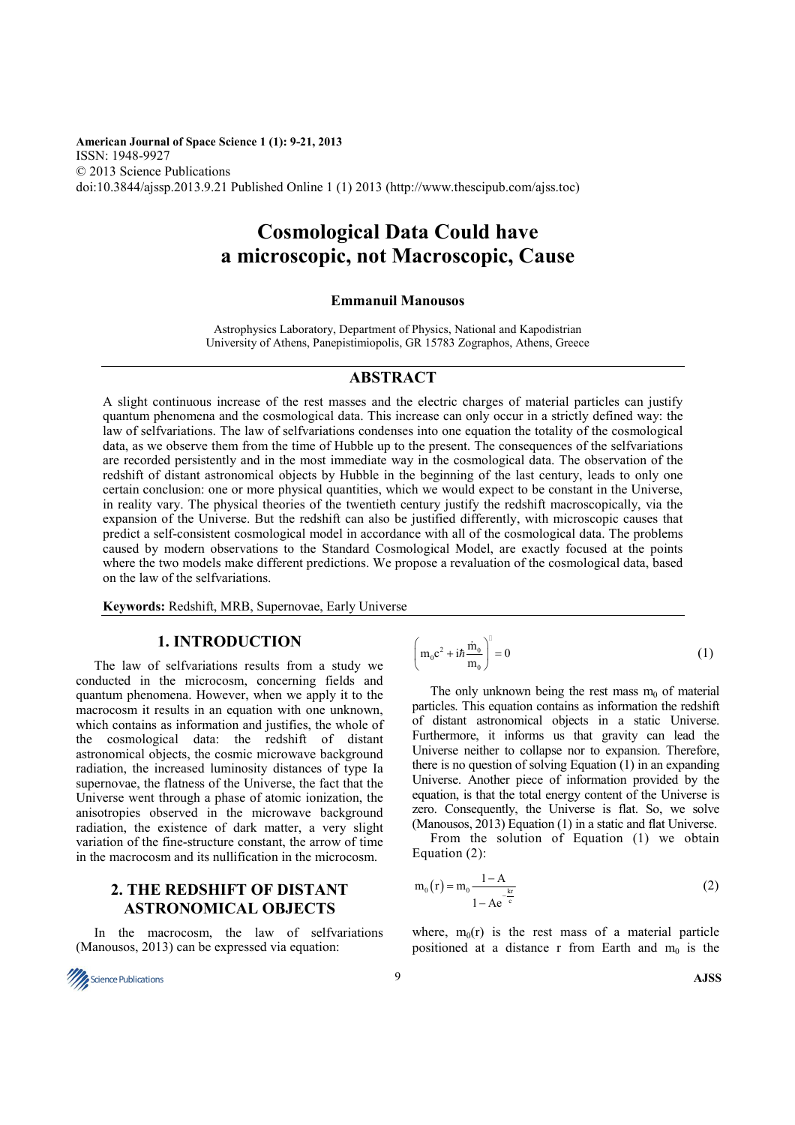**American Journal of Space Science 1 (1): 9-21, 2013** ISSN: 1948-9927 © 2013 Science Publications doi:10.3844/ajssp.2013.9.21 Published Online 1 (1) 2013 (http://www.thescipub.com/ajss.toc)

# **Cosmological Data Could have a microscopic, not Macroscopic, Cause**

#### **Emmanuil Manousos**

Astrophysics Laboratory, Department of Physics, National and Kapodistrian University of Athens, Panepistimiopolis, GR 15783 Zographos, Athens, Greece

#### **ABSTRACT**

A slight continuous increase of the rest masses and the electric charges of material particles can justify quantum phenomena and the cosmological data. This increase can only occur in a strictly defined way: the law of selfvariations. The law of selfvariations condenses into one equation the totality of the cosmological data, as we observe them from the time of Hubble up to the present. The consequences of the selfvariations are recorded persistently and in the most immediate way in the cosmological data. The observation of the redshift of distant astronomical objects by Hubble in the beginning of the last century, leads to only one certain conclusion: one or more physical quantities, which we would expect to be constant in the Universe, in reality vary. The physical theories of the twentieth century justify the redshift macroscopically, via the expansion of the Universe. But the redshift can also be justified differently, with microscopic causes that predict a self-consistent cosmological model in accordance with all of the cosmological data. The problems caused by modern observations to the Standard Cosmological Model, are exactly focused at the points where the two models make different predictions. We propose a revaluation of the cosmological data, based on the law of the selfvariations.

**Keywords:** Redshift, MRB, Supernovae, Early Universe

### **1. INTRODUCTION**

The law of selfvariations results from a study we conducted in the microcosm, concerning fields and quantum phenomena. However, when we apply it to the macrocosm it results in an equation with one unknown, which contains as information and justifies, the whole of the cosmological data: the redshift of distant astronomical objects, the cosmic microwave background radiation, the increased luminosity distances of type Ia supernovae, the flatness of the Universe, the fact that the Universe went through a phase of atomic ionization, the anisotropies observed in the microwave background radiation, the existence of dark matter, a very slight variation of the fine-structure constant, the arrow of time in the macrocosm and its nullification in the microcosm.

### **2. THE REDSHIFT OF DISTANT ASTRONOMICAL OBJECTS**

In the macrocosm, the law of selfvariations (Manousos, 2013) can be expressed via equation:

$$
\left(m_0 c^2 + i\hbar \frac{\dot{m}_0}{m_0}\right)^0 = 0
$$
\n(1)

The only unknown being the rest mass  $m_0$  of material particles. This equation contains as information the redshift of distant astronomical objects in a static Universe. Furthermore, it informs us that gravity can lead the Universe neither to collapse nor to expansion. Therefore, there is no question of solving Equation (1) in an expanding Universe. Another piece of information provided by the equation, is that the total energy content of the Universe is zero. Consequently, the Universe is flat. So, we solve (Manousos, 2013) Equation (1) in a static and flat Universe.

From the solution of Equation (1) we obtain Equation (2):

$$
m_0(r) = m_0 \frac{1 - A}{1 - Ae^{-\frac{kr}{c}}}
$$
 (2)

where,  $m_0(r)$  is the rest mass of a material particle positioned at a distance r from Earth and  $m_0$  is the

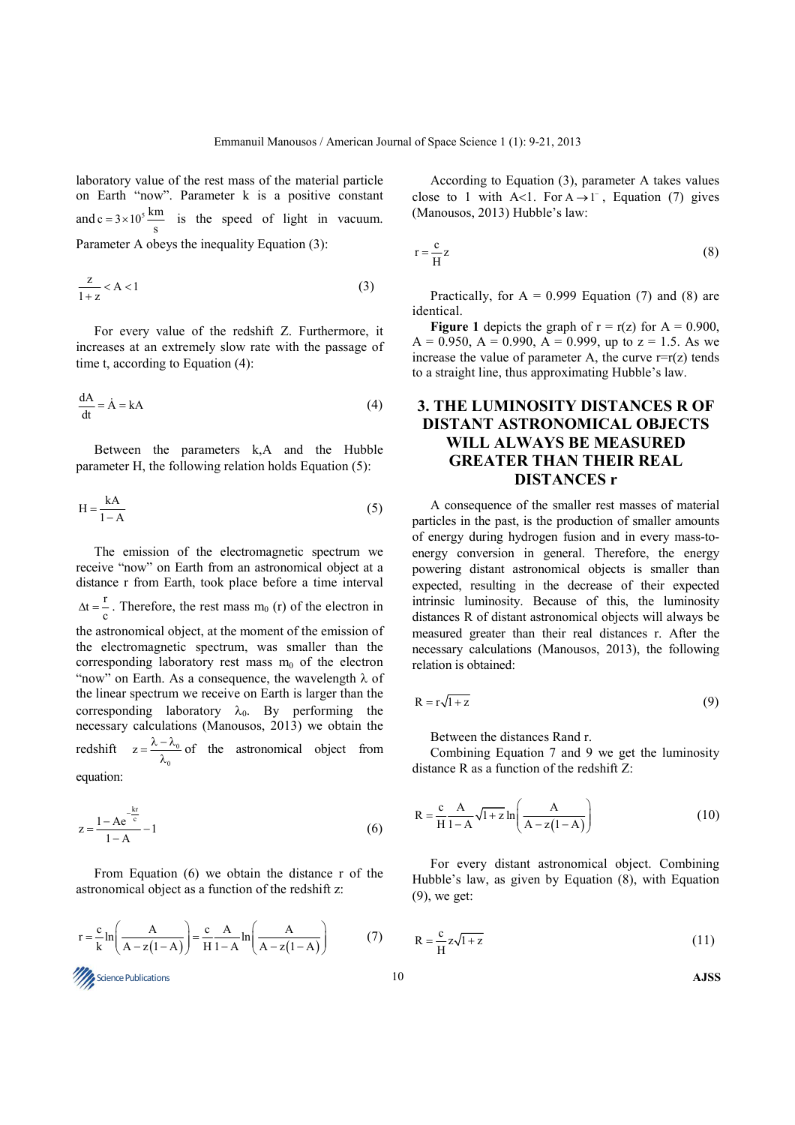laboratory value of the rest mass of the material particle on Earth "now". Parameter k is a positive constant and  $c = 3 \times 10^5 \frac{\text{km}}{\text{s}}$  is the speed of light in vacuum. Parameter A obeys the inequality Equation (3):

$$
\frac{z}{1+z} < A < 1\tag{3}
$$

For every value of the redshift Z. Furthermore, it increases at an extremely slow rate with the passage of time t, according to Equation (4):

$$
\frac{dA}{dt} = \dot{A} = kA
$$
 (4)

Between the parameters k,A and the Hubble parameter H, the following relation holds Equation (5):

$$
H = \frac{kA}{1 - A} \tag{5}
$$

The emission of the electromagnetic spectrum we receive "now" on Earth from an astronomical object at a distance r from Earth, took place before a time interval  $\Delta t = \frac{r}{c}$ . Therefore, the rest mass m<sub>0</sub> (r) of the electron in the astronomical object, at the moment of the emission of the electromagnetic spectrum, was smaller than the corresponding laboratory rest mass  $m_0$  of the electron "now" on Earth. As a consequence, the wavelength  $\lambda$  of the linear spectrum we receive on Earth is larger than the corresponding laboratory  $\lambda_0$ . By performing the necessary calculations (Manousos, 2013) we obtain the redshift  $z = \frac{\kappa - \kappa_0}{\lambda}$ 0  $z = \frac{\lambda - \lambda_0}{\lambda_0}$  of the astronomical object from equation:

$$
z = \frac{1 - Ae^{-\frac{kr}{c}}}{1 - A} - 1
$$
 (6)

From Equation (6) we obtain the distance r of the astronomical object as a function of the redshift z:



According to Equation (3), parameter A takes values close to 1 with A<1. For  $A \rightarrow 1^-$ , Equation (7) gives (Manousos, 2013) Hubble's law:

$$
r = \frac{c}{H}z
$$
 (8)

Practically, for  $A = 0.999$  Equation (7) and (8) are identical.

**Figure 1** depicts the graph of  $r = r(z)$  for  $A = 0.900$ ,  $A = 0.950$ ,  $A = 0.990$ ,  $A = 0.999$ , up to  $z = 1.5$ . As we increase the value of parameter A, the curve  $r=r(z)$  tends to a straight line, thus approximating Hubble's law.

# **3. THE LUMINOSITY DISTANCES R OF DISTANT ASTRONOMICAL OBJECTS WILL ALWAYS BE MEASURED GREATER THAN THEIR REAL DISTANCES r**

A consequence of the smaller rest masses of material particles in the past, is the production of smaller amounts of energy during hydrogen fusion and in every mass-toenergy conversion in general. Therefore, the energy powering distant astronomical objects is smaller than expected, resulting in the decrease of their expected intrinsic luminosity. Because of this, the luminosity distances R of distant astronomical objects will always be measured greater than their real distances r. After the necessary calculations (Manousos, 2013), the following relation is obtained:

$$
R = r\sqrt{1+z} \tag{9}
$$

Between the distances Rand r.

Combining Equation 7 and 9 we get the luminosity distance R as a function of the redshift Z:

$$
R = \frac{c}{H} \frac{A}{1 - A} \sqrt{1 + z} \ln \left( \frac{A}{A - z(1 - A)} \right)
$$
(10)

For every distant astronomical object. Combining Hubble's law, as given by Equation (8), with Equation (9), we get:

$$
R = \frac{c}{H} z \sqrt{1 + z} \tag{11}
$$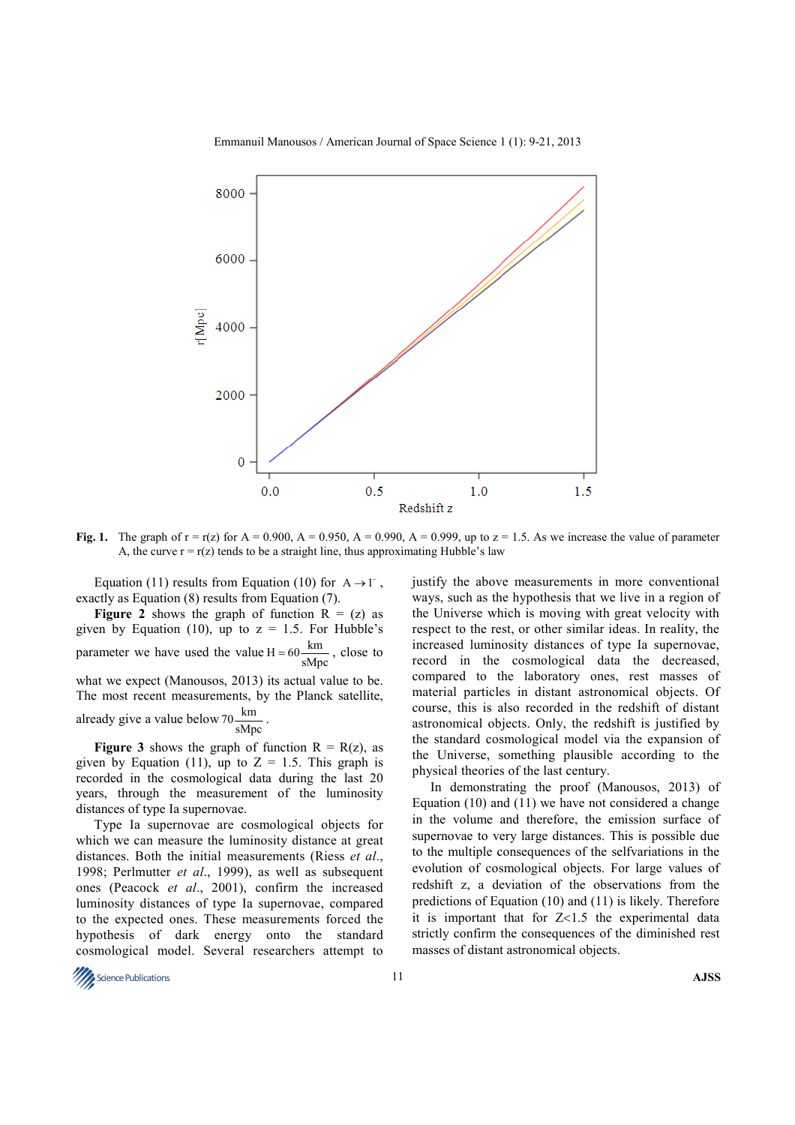

Emmanuil Manousos / American Journal of Space Science 1 (1): 9-21, 2013

**Fig. 1.** The graph of  $r = r(z)$  for  $A = 0.900$ ,  $A = 0.950$ ,  $A = 0.990$ ,  $A = 0.999$ , up to  $z = 1.5$ . As we increase the value of parameter A, the curve  $r = r(z)$  tends to be a straight line, thus approximating Hubble's law

Equation (11) results from Equation (10) for  $A \rightarrow 1^{-}$ , exactly as Equation (8) results from Equation (7).

**Figure 2** shows the graph of function  $R = (z)$  as given by Equation (10), up to  $z = 1.5$ . For Hubble's parameter we have used the value  $H = 60 \frac{km}{sMpc}$ , close to what we expect (Manousos, 2013) its actual value to be. The most recent measurements, by the Planck satellite, already give a value below  $70 \frac{\text{km}}{\text{sMpc}}$ .

**Figure 3** shows the graph of function  $R = R(z)$ , as given by Equation (11), up to  $Z = 1.5$ . This graph is recorded in the cosmological data during the last 20 years, through the measurement of the luminosity distances of type Ia supernovae.

Type Ia supernovae are cosmological objects for which we can measure the luminosity distance at great distances. Both the initial measurements (Riess *et al*., 1998; Perlmutter *et al*., 1999), as well as subsequent ones (Peacock *et al*., 2001), confirm the increased luminosity distances of type Ia supernovae, compared to the expected ones. These measurements forced the hypothesis of dark energy onto the standard cosmological model. Several researchers attempt to justify the above measurements in more conventional ways, such as the hypothesis that we live in a region of the Universe which is moving with great velocity with respect to the rest, or other similar ideas. In reality, the increased luminosity distances of type Ia supernovae, record in the cosmological data the decreased, compared to the laboratory ones, rest masses of material particles in distant astronomical objects. Of course, this is also recorded in the redshift of distant astronomical objects. Only, the redshift is justified by the standard cosmological model via the expansion of the Universe, something plausible according to the physical theories of the last century.

In demonstrating the proof (Manousos, 2013) of Equation (10) and (11) we have not considered a change in the volume and therefore, the emission surface of supernovae to very large distances. This is possible due to the multiple consequences of the selfvariations in the evolution of cosmological objects. For large values of redshift z, a deviation of the observations from the predictions of Equation (10) and (11) is likely. Therefore it is important that for  $Z<1.5$  the experimental data strictly confirm the consequences of the diminished rest masses of distant astronomical objects.

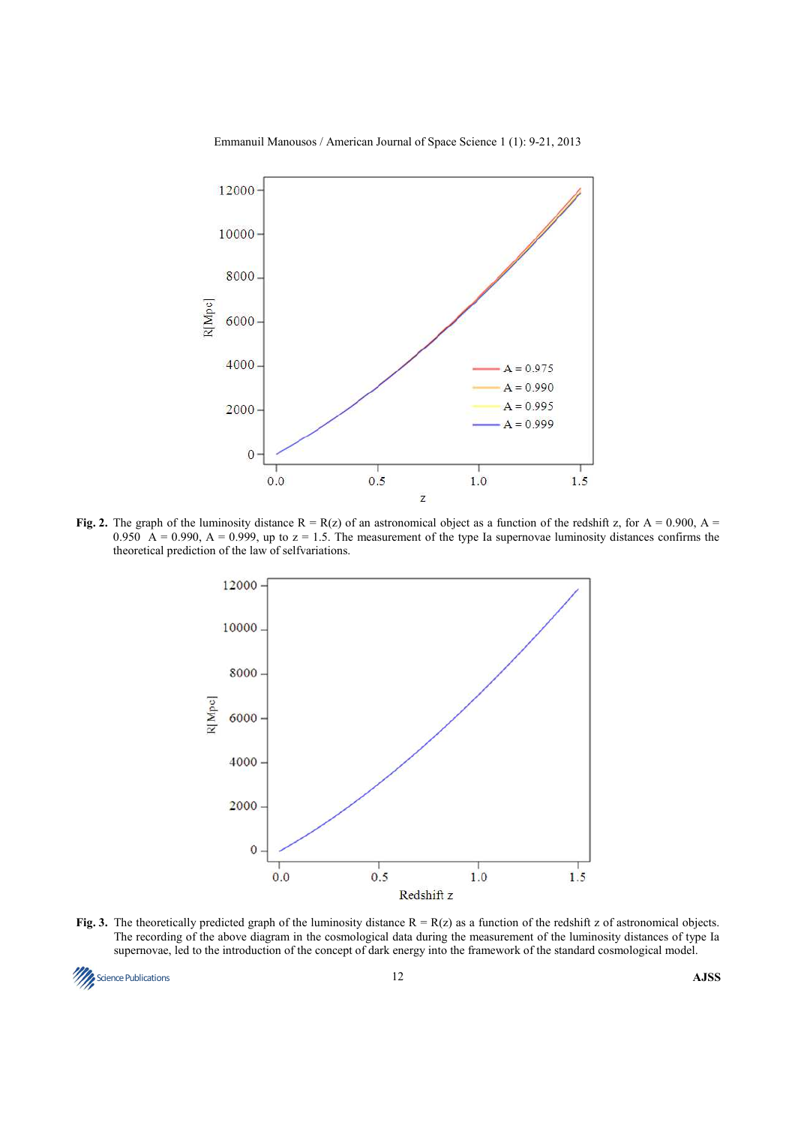

#### Emmanuil Manousos / American Journal of Space Science 1 (1): 9-21, 2013

**Fig. 2.** The graph of the luminosity distance  $R = R(z)$  of an astronomical object as a function of the redshift z, for  $A = 0.900$ ,  $A =$ 0.950  $\hat{A} = 0.990$ ,  $A = 0.999$ , up to  $z = 1.5$ . The measurement of the type Ia supernovae luminosity distances confirms the theoretical prediction of the law of selfvariations.



**Fig. 3.** The theoretically predicted graph of the luminosity distance  $R = R(z)$  as a function of the redshift z of astronomical objects. The recording of the above diagram in the cosmological data during the measurement of the luminosity distances of type Ia supernovae, led to the introduction of the concept of dark energy into the framework of the standard cosmological model.

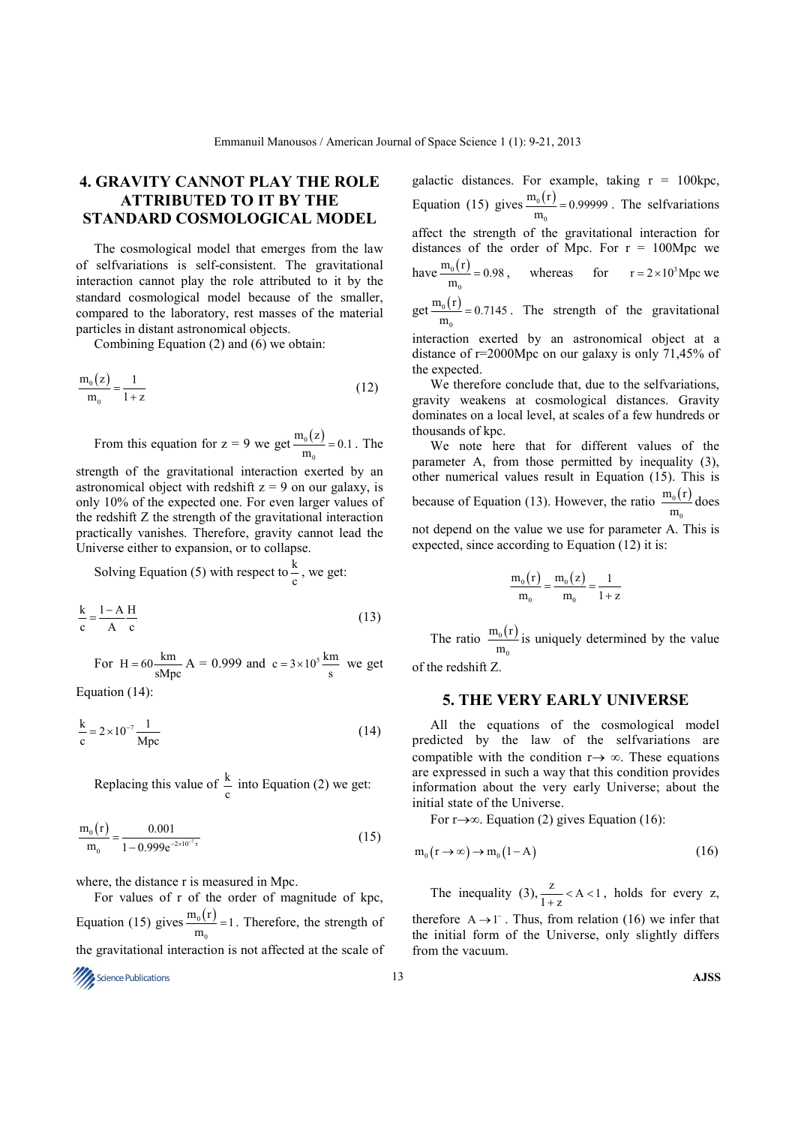# **4. GRAVITY CANNOT PLAY THE ROLE ATTRIBUTED TO IT BY THE STANDARD COSMOLOGICAL MODEL**

The cosmological model that emerges from the law of selfvariations is self-consistent. The gravitational interaction cannot play the role attributed to it by the standard cosmological model because of the smaller, compared to the laboratory, rest masses of the material particles in distant astronomical objects.

Combining Equation (2) and (6) we obtain:

$$
\frac{m_0(z)}{m_0} = \frac{1}{1+z}
$$
\n(12)

From this equation for  $z = 9$  we get  $\frac{m_0(z)}{m_0} = 0.1$ . The 0

strength of the gravitational interaction exerted by an astronomical object with redshift  $z = 9$  on our galaxy, is only 10% of the expected one. For even larger values of the redshift Z the strength of the gravitational interaction practically vanishes. Therefore, gravity cannot lead the Universe either to expansion, or to collapse.

Solving Equation (5) with respect to  $\frac{k}{c}$ , we get:

$$
\frac{k}{c} = \frac{1 - A}{A} \frac{H}{c}
$$
 (13)

For H =  $60 \frac{\text{km}}{\text{sMpc}}$  A = 0.999 and c =  $3 \times 10^5 \frac{\text{km}}{\text{s}}$  we get

Equation (14):

$$
\frac{k}{c} = 2 \times 10^{-7} \frac{1}{\text{Mpc}}
$$
 (14)

Replacing this value of  $\frac{k}{c}$  into Equation (2) we get:

$$
\frac{m_0(r)}{m_0} = \frac{0.001}{1 - 0.999e^{-2 \times 10^{-7} r}}
$$
(15)

where, the distance r is measured in Mpc.

For values of r of the order of magnitude of kpc, Equation (15) gives  $\frac{m_0(r)}{r}$ 0  $\frac{m_0(r)}{m_0}$  = 1. Therefore, the strength of the gravitational interaction is not affected at the scale of

galactic distances. For example, taking  $r = 100$ kpc, Equation (15) gives  $\frac{m_0(r)}{r}$ 0  $\frac{m_0(r)}{m_0}$  = 0.99999. The selfvariations affect the strength of the gravitational interaction for distances of the order of Mpc. For  $r = 100Mpc$  we have  $\frac{m_0(r)}{2}$  $\bf{0}$  $\frac{m_0(r)}{m_0} = 0.98$ , whereas for  $r = 2 \times 10^3$  Mpc we

get  $\frac{m_0(r)}{m_0}$  = 0.7145. The strength of the gravitational  $\bf{0}$ 

interaction exerted by an astronomical object at a distance of r=2000Mpc on our galaxy is only 71,45% of the expected.

We therefore conclude that, due to the selfvariations, gravity weakens at cosmological distances. Gravity dominates on a local level, at scales of a few hundreds or thousands of kpc.

We note here that for different values of the parameter A, from those permitted by inequality (3), other numerical values result in Equation (15). This is because of Equation (13). However, the ratio  $\frac{m_0(r)}{r}$ 0  $m_0(r)$  $\frac{m_0(1)}{m_0}$  does not depend on the value we use for parameter A. This is

$$
\frac{m_o\big(r\big)}{m_o} \!=\! \frac{m_o\big(z\big)}{m_o} \!=\! \frac{1}{1+z}
$$

expected, since according to Equation (12) it is:

The ratio  $\frac{m_0(r)}{r}$ 0  $m_0(r)$  $\frac{m_0(1)}{m_0}$  is uniquely determined by the value

of the redshift Z.

#### **5. THE VERY EARLY UNIVERSE**

All the equations of the cosmological model predicted by the law of the selfvariations are compatible with the condition  $r \rightarrow \infty$ . These equations are expressed in such a way that this condition provides information about the very early Universe; about the initial state of the Universe.

For r→∞. Equation (2) gives Equation (16):

$$
m_0(r \to \infty) \to m_0(1-A)
$$
 (16)

The inequality (3),  $\frac{z}{1+z}$  < A < 1, holds for every z, therefore  $A \rightarrow 1^-$ . Thus, from relation (16) we infer that the initial form of the Universe, only slightly differs from the vacuum.

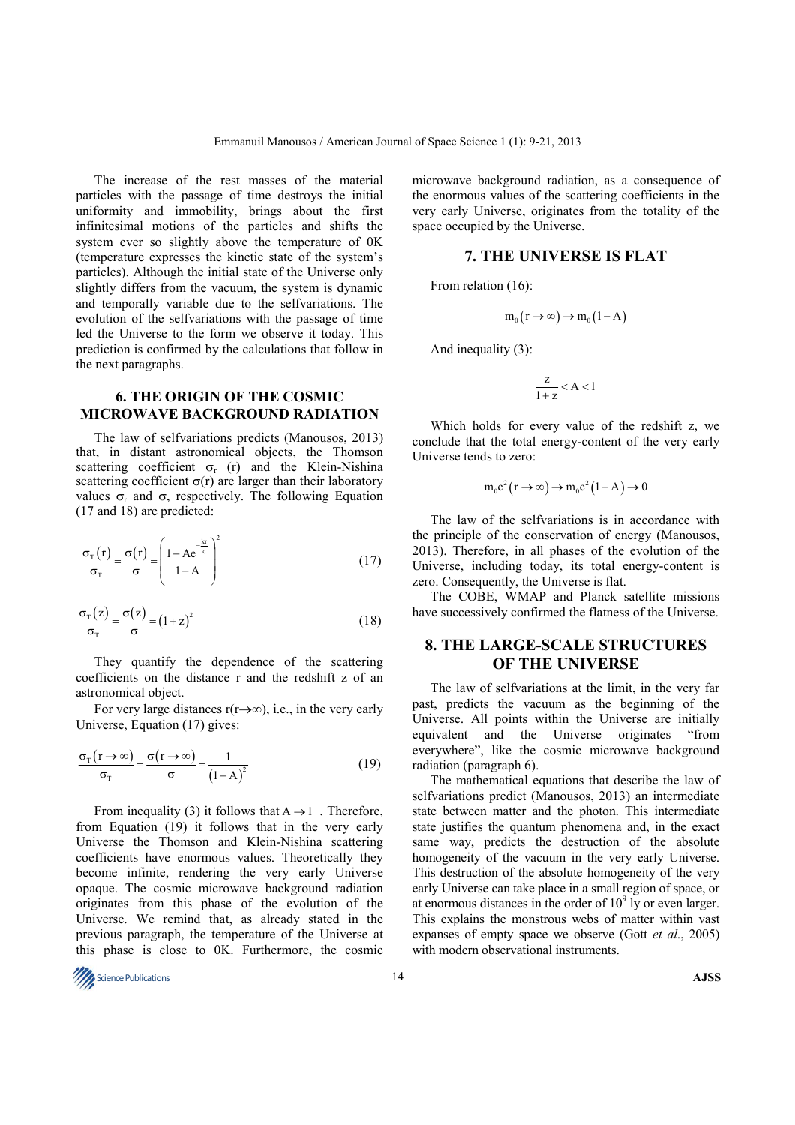The increase of the rest masses of the material particles with the passage of time destroys the initial uniformity and immobility, brings about the first infinitesimal motions of the particles and shifts the system ever so slightly above the temperature of 0K (temperature expresses the kinetic state of the system's particles). Although the initial state of the Universe only slightly differs from the vacuum, the system is dynamic and temporally variable due to the selfvariations. The evolution of the selfvariations with the passage of time led the Universe to the form we observe it today. This prediction is confirmed by the calculations that follow in the next paragraphs.

### **6. THE ORIGIN OF THE COSMIC MICROWAVE BACKGROUND RADIATION**

The law of selfvariations predicts (Manousos, 2013) that, in distant astronomical objects, the Thomson scattering coefficient  $\sigma_r$  (r) and the Klein-Nishina scattering coefficient  $\sigma(r)$  are larger than their laboratory values  $\sigma_r$  and  $\sigma$ , respectively. The following Equation (17 and 18) are predicted:

$$
\frac{\sigma_{\rm T}(r)}{\sigma_{\rm T}} = \frac{\sigma(r)}{\sigma} = \left(\frac{1 - Ae^{\frac{-kr}{c}}}{1 - A}\right)^2\tag{17}
$$

$$
\frac{\sigma_{\rm T}(z)}{\sigma_{\rm T}} = \frac{\sigma(z)}{\sigma} = (1+z)^2 \tag{18}
$$

They quantify the dependence of the scattering coefficients on the distance r and the redshift z of an astronomical object.

For very large distances  $r(r\rightarrow\infty)$ , i.e., in the very early Universe, Equation (17) gives:

$$
\frac{\sigma_{\rm T}(\mathbf{r} \to \infty)}{\sigma_{\rm T}} = \frac{\sigma(\mathbf{r} \to \infty)}{\sigma} = \frac{1}{(1 - A)^2}
$$
(19)

From inequality (3) it follows that  $A \rightarrow 1^-$ . Therefore, from Equation (19) it follows that in the very early Universe the Thomson and Klein-Nishina scattering coefficients have enormous values. Theoretically they become infinite, rendering the very early Universe opaque. The cosmic microwave background radiation originates from this phase of the evolution of the Universe. We remind that, as already stated in the previous paragraph, the temperature of the Universe at this phase is close to 0K. Furthermore, the cosmic

microwave background radiation, as a consequence of the enormous values of the scattering coefficients in the very early Universe, originates from the totality of the space occupied by the Universe.

### **7. THE UNIVERSE IS FLAT**

From relation (16):

$$
m_0(r \to \infty) \to m_0(1-A)
$$

And inequality (3):

$$
\frac{z}{1+z} < A < 1
$$

Which holds for every value of the redshift z, we conclude that the total energy-content of the very early Universe tends to zero:

$$
m_0 c^2 (r \to \infty) \to m_0 c^2 (1 - A) \to 0
$$

The law of the selfvariations is in accordance with the principle of the conservation of energy (Manousos, 2013). Therefore, in all phases of the evolution of the Universe, including today, its total energy-content is zero. Consequently, the Universe is flat.

The COBE, WMAP and Planck satellite missions have successively confirmed the flatness of the Universe.

### **8. THE LARGE-SCALE STRUCTURES OF THE UNIVERSE**

The law of selfvariations at the limit, in the very far past, predicts the vacuum as the beginning of the Universe. All points within the Universe are initially equivalent and the Universe originates "from everywhere", like the cosmic microwave background radiation (paragraph 6).

The mathematical equations that describe the law of selfvariations predict (Manousos, 2013) an intermediate state between matter and the photon. This intermediate state justifies the quantum phenomena and, in the exact same way, predicts the destruction of the absolute homogeneity of the vacuum in the very early Universe. This destruction of the absolute homogeneity of the very early Universe can take place in a small region of space, or at enormous distances in the order of  $10<sup>9</sup>$  ly or even larger. This explains the monstrous webs of matter within vast expanses of empty space we observe (Gott *et al*., 2005) with modern observational instruments.

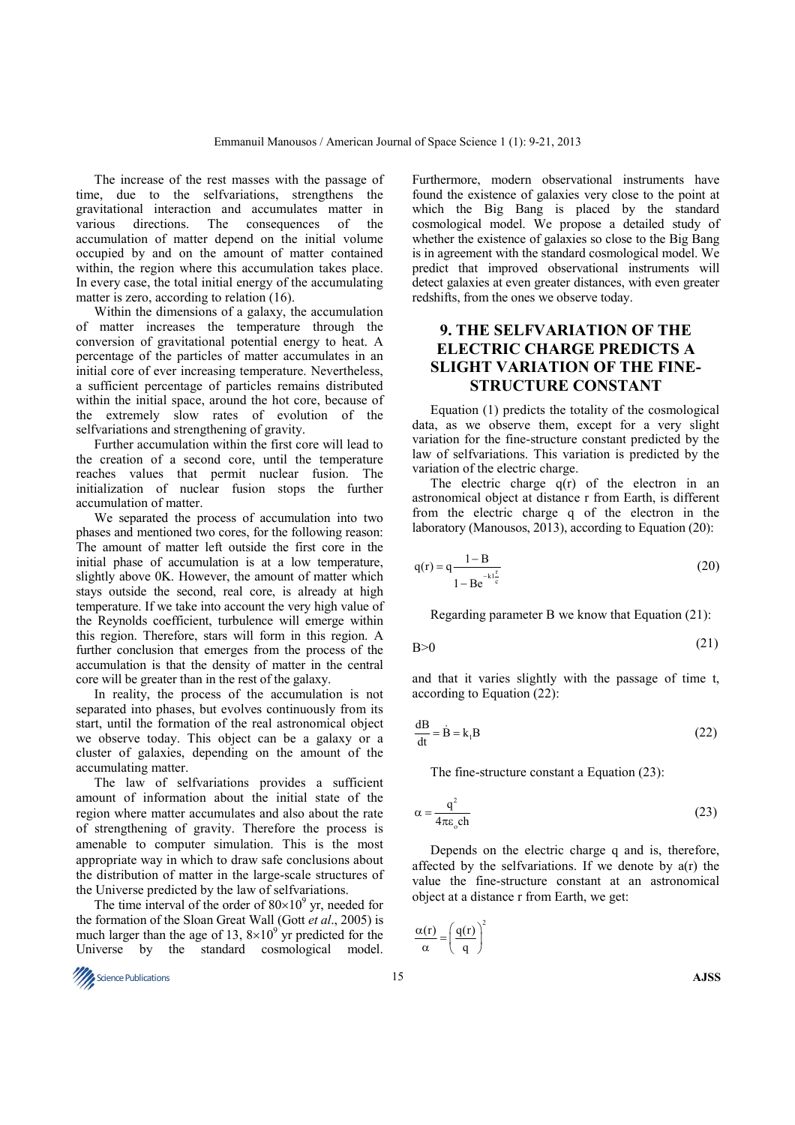The increase of the rest masses with the passage of time, due to the selfvariations, strengthens the gravitational interaction and accumulates matter in various directions. The consequences of the accumulation of matter depend on the initial volume occupied by and on the amount of matter contained within, the region where this accumulation takes place. In every case, the total initial energy of the accumulating matter is zero, according to relation (16).

Within the dimensions of a galaxy, the accumulation of matter increases the temperature through the conversion of gravitational potential energy to heat. A percentage of the particles of matter accumulates in an initial core of ever increasing temperature. Nevertheless, a sufficient percentage of particles remains distributed within the initial space, around the hot core, because of the extremely slow rates of evolution of the selfvariations and strengthening of gravity.

Further accumulation within the first core will lead to the creation of a second core, until the temperature reaches values that permit nuclear fusion. The initialization of nuclear fusion stops the further accumulation of matter.

We separated the process of accumulation into two phases and mentioned two cores, for the following reason: The amount of matter left outside the first core in the initial phase of accumulation is at a low temperature, slightly above 0K. However, the amount of matter which stays outside the second, real core, is already at high temperature. If we take into account the very high value of the Reynolds coefficient, turbulence will emerge within this region. Therefore, stars will form in this region. A further conclusion that emerges from the process of the accumulation is that the density of matter in the central core will be greater than in the rest of the galaxy.

In reality, the process of the accumulation is not separated into phases, but evolves continuously from its start, until the formation of the real astronomical object we observe today. This object can be a galaxy or a cluster of galaxies, depending on the amount of the accumulating matter.

The law of selfvariations provides a sufficient amount of information about the initial state of the region where matter accumulates and also about the rate of strengthening of gravity. Therefore the process is amenable to computer simulation. This is the most appropriate way in which to draw safe conclusions about the distribution of matter in the large-scale structures of the Universe predicted by the law of selfvariations.

The time interval of the order of  $80 \times 10^9$  yr, needed for the formation of the Sloan Great Wall (Gott *et al*., 2005) is much larger than the age of 13,  $8 \times 10^9$  yr predicted for the Universe by the standard cosmological model.



Furthermore, modern observational instruments have found the existence of galaxies very close to the point at which the Big Bang is placed by the standard cosmological model. We propose a detailed study of whether the existence of galaxies so close to the Big Bang is in agreement with the standard cosmological model. We predict that improved observational instruments will detect galaxies at even greater distances, with even greater redshifts, from the ones we observe today.

# **9. THE SELFVARIATION OF THE ELECTRIC CHARGE PREDICTS A SLIGHT VARIATION OF THE FINE-STRUCTURE CONSTANT**

Equation (1) predicts the totality of the cosmological data, as we observe them, except for a very slight variation for the fine-structure constant predicted by the law of selfvariations. This variation is predicted by the variation of the electric charge.

The electric charge  $q(r)$  of the electron in an astronomical object at distance r from Earth, is different from the electric charge q of the electron in the laboratory (Manousos, 2013), according to Equation (20):

$$
q(r) = q \frac{1 - B}{1 - Be^{-kt\frac{r}{c}}}
$$
 (20)

Regarding parameter B we know that Equation (21):

 $B>0$  (21)

and that it varies slightly with the passage of time t, according to Equation (22):

$$
\frac{dB}{dt} = \dot{B} = k_1 B \tag{22}
$$

The fine-structure constant a Equation (23):

$$
\alpha = \frac{q^2}{4\pi\varepsilon_o ch} \tag{23}
$$

Depends on the electric charge q and is, therefore, affected by the selfvariations. If we denote by a(r) the value the fine-structure constant at an astronomical object at a distance r from Earth, we get:

$$
\frac{\alpha(r)}{\alpha} = \left(\frac{q(r)}{q}\right)^2
$$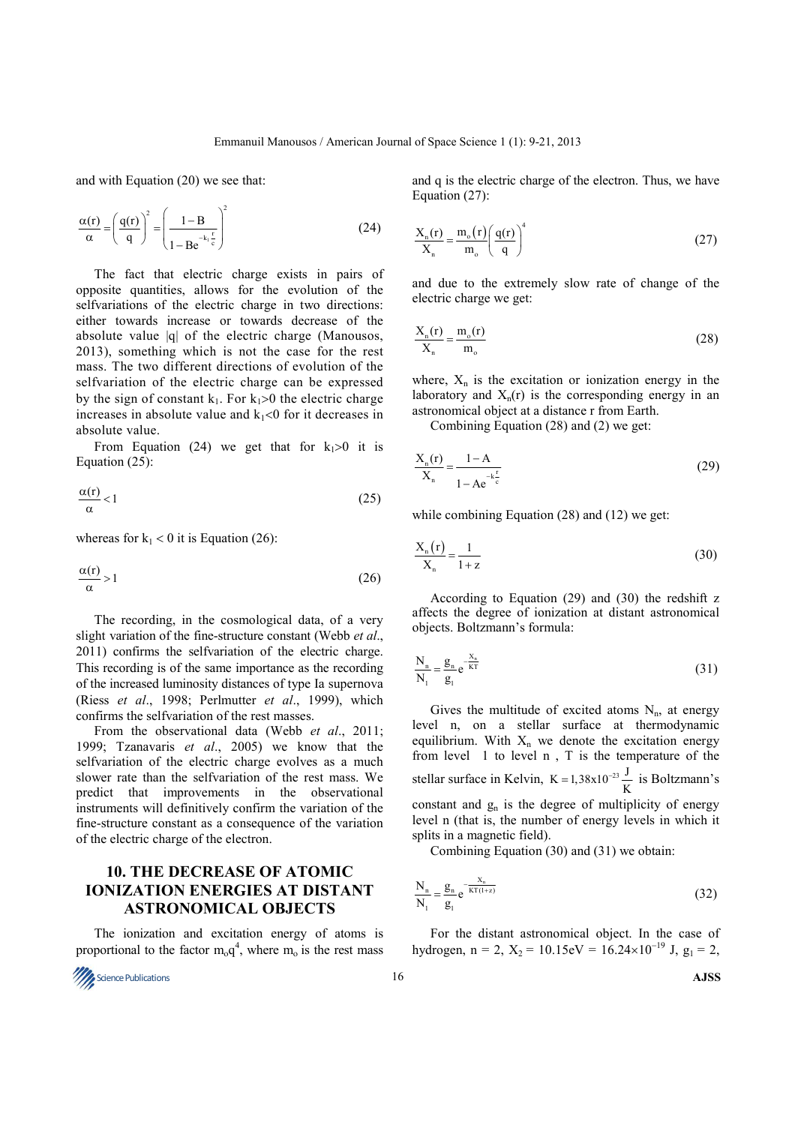and with Equation (20) we see that:

$$
\frac{\alpha(r)}{\alpha} = \left(\frac{q(r)}{q}\right)^2 = \left(\frac{1 - B}{1 - Be^{-k_1 \frac{r}{c}}}\right)^2\tag{24}
$$

The fact that electric charge exists in pairs of opposite quantities, allows for the evolution of the selfvariations of the electric charge in two directions: either towards increase or towards decrease of the absolute value |q| of the electric charge (Manousos, 2013), something which is not the case for the rest mass. The two different directions of evolution of the selfvariation of the electric charge can be expressed by the sign of constant  $k_1$ . For  $k_1>0$  the electric charge increases in absolute value and  $k_1$ <0 for it decreases in absolute value.

From Equation (24) we get that for  $k_1>0$  it is Equation (25):

$$
\frac{\alpha(r)}{\alpha} < 1\tag{25}
$$

whereas for  $k_1 < 0$  it is Equation (26):

$$
\frac{\alpha(r)}{\alpha} > 1\tag{26}
$$

The recording, in the cosmological data, of a very slight variation of the fine-structure constant (Webb *et al*., 2011) confirms the selfvariation of the electric charge. This recording is of the same importance as the recording of the increased luminosity distances of type Ia supernova (Riess *et al*., 1998; Perlmutter *et al*., 1999), which confirms the selfvariation of the rest masses.

From the observational data (Webb *et al*., 2011; 1999; Tzanavaris *et al*., 2005) we know that the selfvariation of the electric charge evolves as a much slower rate than the selfvariation of the rest mass. We predict that improvements in the observational instruments will definitively confirm the variation of the fine-structure constant as a consequence of the variation of the electric charge of the electron.

### **10. THE DECREASE OF ATOMIC IONIZATION ENERGIES AT DISTANT ASTRONOMICAL OBJECTS**

The ionization and excitation energy of atoms is proportional to the factor  $m_0 q^4$ , where  $m_0$  is the rest mass



and q is the electric charge of the electron. Thus, we have Equation (27):

$$
\frac{X_{n}(r)}{X_{n}} = \frac{m_{o}(r)}{m_{o}} \left(\frac{q(r)}{q}\right)^{4}
$$
\n(27)

and due to the extremely slow rate of change of the electric charge we get:

$$
\frac{X_{n}(r)}{X_{n}} = \frac{m_o(r)}{m_o}
$$
\n(28)

where,  $X_n$  is the excitation or ionization energy in the laboratory and  $X_n(r)$  is the corresponding energy in an astronomical object at a distance r from Earth.

Combining Equation (28) and (2) we get:

$$
\frac{X_{n}(r)}{X_{n}} = \frac{1 - A}{1 - Ae^{-\frac{k^{2}}{c}}}
$$
\n(29)

while combining Equation (28) and (12) we get:

$$
\frac{X_{n}(r)}{X_{n}} = \frac{1}{1+z}
$$
\n(30)

According to Equation (29) and (30) the redshift z affects the degree of ionization at distant astronomical objects. Boltzmann's formula:

$$
\frac{N_n}{N_1} = \frac{g_n}{g_1} e^{-\frac{X_n}{KT}}
$$
\n(31)

Gives the multitude of excited atoms  $N_{n}$ , at energy level n, on a stellar surface at thermodynamic equilibrium. With  $X_n$  we denote the excitation energy from level 1 to level n , T is the temperature of the stellar surface in Kelvin,  $K = 1,38 \times 10^{-23} \frac{J}{K}$  $= 1,38x10^{-23} \frac{J}{\epsilon}$  is Boltzmann's constant and  $g_n$  is the degree of multiplicity of energy level n (that is, the number of energy levels in which it splits in a magnetic field).

Combining Equation (30) and (31) we obtain:

$$
\frac{N_n}{N_1} = \frac{g_n}{g_1} e^{-\frac{X_n}{KT(1+z)}}
$$
\n(32)

For the distant astronomical object. In the case of hydrogen, n = 2,  $X_2 = 10.15 \text{eV} = 16.24 \times 10^{-19} \text{ J}, g_1 = 2$ ,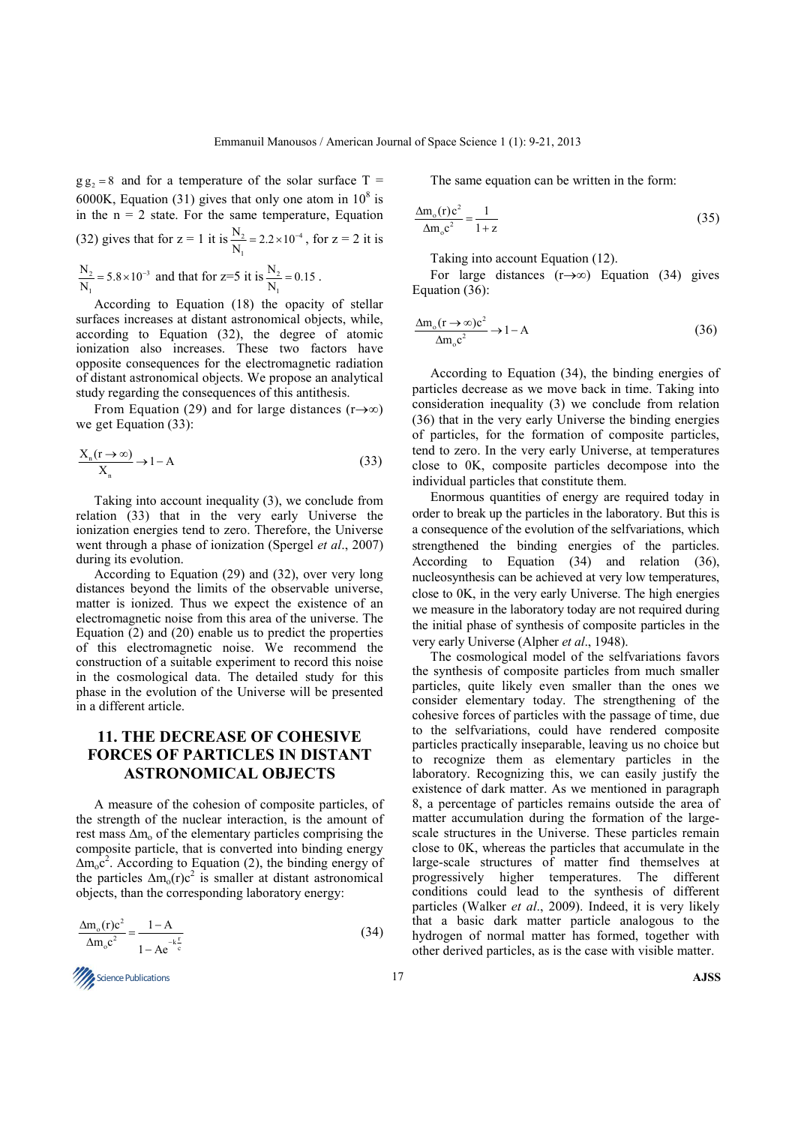$g g<sub>2</sub> = 8$  and for a temperature of the solar surface T = 6000K, Equation (31) gives that only one atom in  $10^8$  is in the  $n = 2$  state. For the same temperature, Equation (32) gives that for  $z = 1$  it is  $\frac{1}{2} = 2.2 \times 10^{-4}$ 1  $\frac{N_2}{N_1}$  = 2.2 × 10  $= 2.2 \times 10^{-4}$ , for  $z = 2$  it is  $2 - 5.8 \times 10^{-3}$ 1  $\frac{N_2}{N_1}$  = 5.8 × 10  $= 5.8 \times 10^{-3}$  and that for z=5 it is  $\frac{N_2}{N_1}$ 1  $\frac{N_2}{N_1}$  = 0.15.

According to Equation (18) the opacity of stellar surfaces increases at distant astronomical objects, while, according to Equation (32), the degree of atomic ionization also increases. These two factors have opposite consequences for the electromagnetic radiation of distant astronomical objects. We propose an analytical study regarding the consequences of this antithesis.

From Equation (29) and for large distances (r→∞) we get Equation (33):

$$
\frac{X_n(r \to \infty)}{X_n} \to 1 - A
$$
 (33)

Taking into account inequality (3), we conclude from relation (33) that in the very early Universe the ionization energies tend to zero. Therefore, the Universe went through a phase of ionization (Spergel *et al*., 2007) during its evolution.

According to Equation (29) and (32), over very long distances beyond the limits of the observable universe, matter is ionized. Thus we expect the existence of an electromagnetic noise from this area of the universe. The Equation (2) and (20) enable us to predict the properties of this electromagnetic noise. We recommend the construction of a suitable experiment to record this noise in the cosmological data. The detailed study for this phase in the evolution of the Universe will be presented in a different article.

## **11. THE DECREASE OF COHESIVE FORCES OF PARTICLES IN DISTANT ASTRONOMICAL OBJECTS**

A measure of the cohesion of composite particles, of the strength of the nuclear interaction, is the amount of rest mass  $\Delta m_0$  of the elementary particles comprising the composite particle, that is converted into binding energy  $\Delta m_0 c^2$ . According to Equation (2), the binding energy of the particles  $\Delta m_o(r)c^2$  is smaller at distant astronomical objects, than the corresponding laboratory energy:

$$
\frac{\Delta m_o(r)c^2}{\Delta m_o c^2} = \frac{1-A}{1-Ae^{-k\frac{r}{c}}}
$$
(34)

**Science Publications AJSS AJSS A** 

The same equation can be written in the form:

$$
\frac{\Delta m_o(r)c^2}{\Delta m_o c^2} = \frac{1}{1+z}
$$
\n(35)

Taking into account Equation (12).

For large distances (r→∞) Equation (34) gives Equation (36):

$$
\frac{\Delta m_o(r \to \infty)c^2}{\Delta m_o c^2} \to 1-A
$$
\n(36)

According to Equation (34), the binding energies of particles decrease as we move back in time. Taking into consideration inequality (3) we conclude from relation (36) that in the very early Universe the binding energies of particles, for the formation of composite particles, tend to zero. Ιn the very early Universe, at temperatures close to 0Κ, composite particles decompose into the individual particles that constitute them.

Enormous quantities of energy are required today in order to break up the particles in the laboratory. But this is a consequence of the evolution of the selfvariations, which strengthened the binding energies of the particles. According to Equation (34) and relation (36), nucleosynthesis can be achieved at very low temperatures, close to 0Κ, in the very early Universe. The high energies we measure in the laboratory today are not required during the initial phase of synthesis of composite particles in the very early Universe (Alpher *et al*., 1948).

The cosmological model of the selfvariations favors the synthesis of composite particles from much smaller particles, quite likely even smaller than the ones we consider elementary today. The strengthening of the cohesive forces of particles with the passage of time, due to the selfvariations, could have rendered composite particles practically inseparable, leaving us no choice but to recognize them as elementary particles in the laboratory. Recognizing this, we can easily justify the existence of dark matter. As we mentioned in paragraph 8, a percentage of particles remains outside the area of matter accumulation during the formation of the largescale structures in the Universe. These particles remain close to 0Κ, whereas the particles that accumulate in the large-scale structures of matter find themselves at progressively higher temperatures. The different conditions could lead to the synthesis of different particles (Walker *et al*., 2009). Indeed, it is very likely that a basic dark matter particle analogous to the hydrogen of normal matter has formed, together with other derived particles, as is the case with visible matter.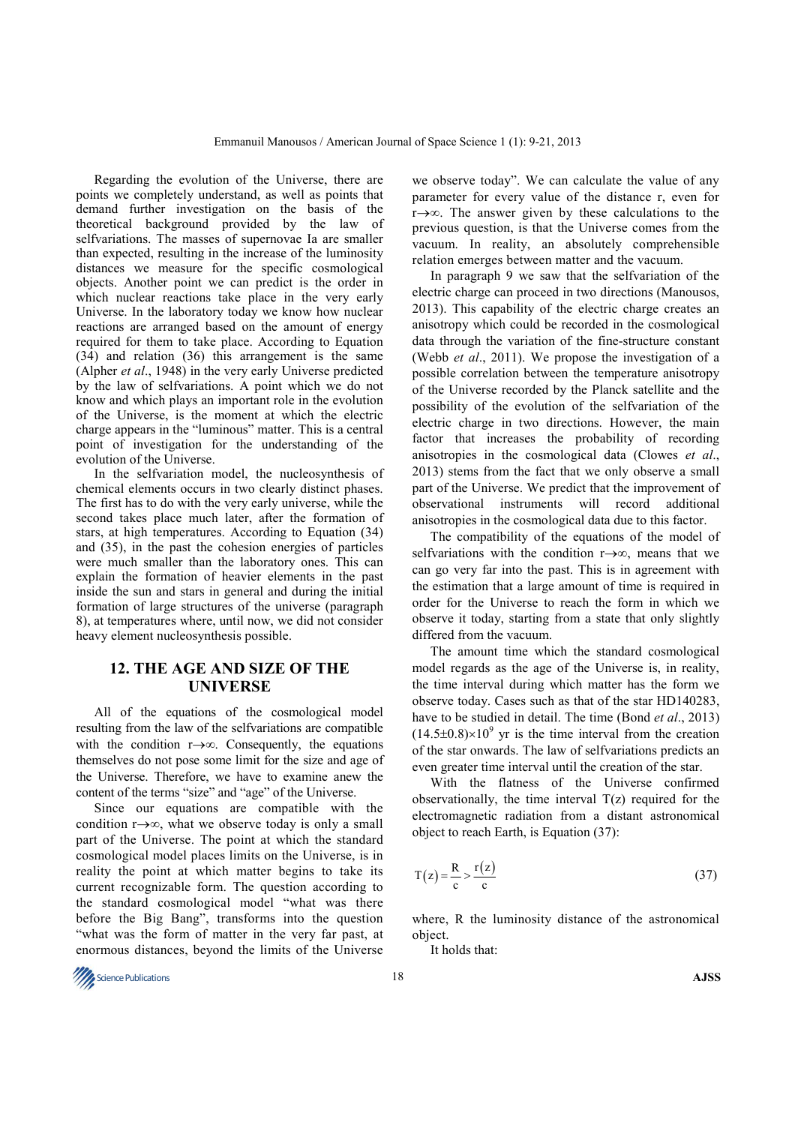Regarding the evolution of the Universe, there are points we completely understand, as well as points that demand further investigation on the basis of the theoretical background provided by the law of selfvariations. The masses of supernovae Ia are smaller than expected, resulting in the increase of the luminosity distances we measure for the specific cosmological objects. Another point we can predict is the order in which nuclear reactions take place in the very early Universe. In the laboratory today we know how nuclear reactions are arranged based on the amount of energy required for them to take place. According to Equation (34) and relation (36) this arrangement is the same (Alpher *et al*., 1948) in the very early Universe predicted by the law of selfvariations. A point which we do not know and which plays an important role in the evolution of the Universe, is the moment at which the electric charge appears in the "luminous" matter. This is a central point of investigation for the understanding of the evolution of the Universe.

In the selfvariation model, the nucleosynthesis of chemical elements occurs in two clearly distinct phases. The first has to do with the very early universe, while the second takes place much later, after the formation of stars, at high temperatures. According to Equation (34) and (35), in the past the cohesion energies of particles were much smaller than the laboratory ones. This can explain the formation of heavier elements in the past inside the sun and stars in general and during the initial formation of large structures of the universe (paragraph 8), at temperatures where, until now, we did not consider heavy element nucleosynthesis possible.

### **12. THE AGE AND SIZE OF THE UNIVERSE**

All of the equations of the cosmological model resulting from the law of the selfvariations are compatible with the condition r→∞. Consequently, the equations themselves do not pose some limit for the size and age of the Universe. Therefore, we have to examine anew the content of the terms "size" and "age" of the Universe.

Since our equations are compatible with the condition r→∞, what we observe today is only a small part of the Universe. The point at which the standard cosmological model places limits on the Universe, is in reality the point at which matter begins to take its current recognizable form. The question according to the standard cosmological model "what was there before the Big Bang", transforms into the question "what was the form of matter in the very far past, at enormous distances, beyond the limits of the Universe

we observe today". We can calculate the value of any parameter for every value of the distance r, even for r→∞. The answer given by these calculations to the previous question, is that the Universe comes from the vacuum. In reality, an absolutely comprehensible relation emerges between matter and the vacuum.

In paragraph 9 we saw that the selfvariation of the electric charge can proceed in two directions (Manousos, 2013). This capability of the electric charge creates an anisotropy which could be recorded in the cosmological data through the variation of the fine-structure constant (Webb *et al*., 2011). We propose the investigation of a possible correlation between the temperature anisotropy of the Universe recorded by the Planck satellite and the possibility of the evolution of the selfvariation of the electric charge in two directions. However, the main factor that increases the probability of recording anisotropies in the cosmological data (Clowes *et al*., 2013) stems from the fact that we only observe a small part of the Universe. We predict that the improvement of observational instruments will record additional anisotropies in the cosmological data due to this factor.

The compatibility of the equations of the model of selfvariations with the condition r→∞, means that we can go very far into the past. This is in agreement with the estimation that a large amount of time is required in order for the Universe to reach the form in which we observe it today, starting from a state that only slightly differed from the vacuum.

The amount time which the standard cosmological model regards as the age of the Universe is, in reality, the time interval during which matter has the form we observe today. Cases such as that of the star HD140283, have to be studied in detail. The time (Bond *et al*., 2013)  $(14.5\pm0.8)\times10^{9}$  yr is the time interval from the creation of the star onwards. The law of selfvariations predicts an even greater time interval until the creation of the star.

With the flatness of the Universe confirmed observationally, the time interval  $T(z)$  required for the electromagnetic radiation from a distant astronomical object to reach Earth, is Equation (37):

$$
T(z) = \frac{R}{c} > \frac{r(z)}{c}
$$
 (37)

where, R the luminosity distance of the astronomical object.

It holds that:

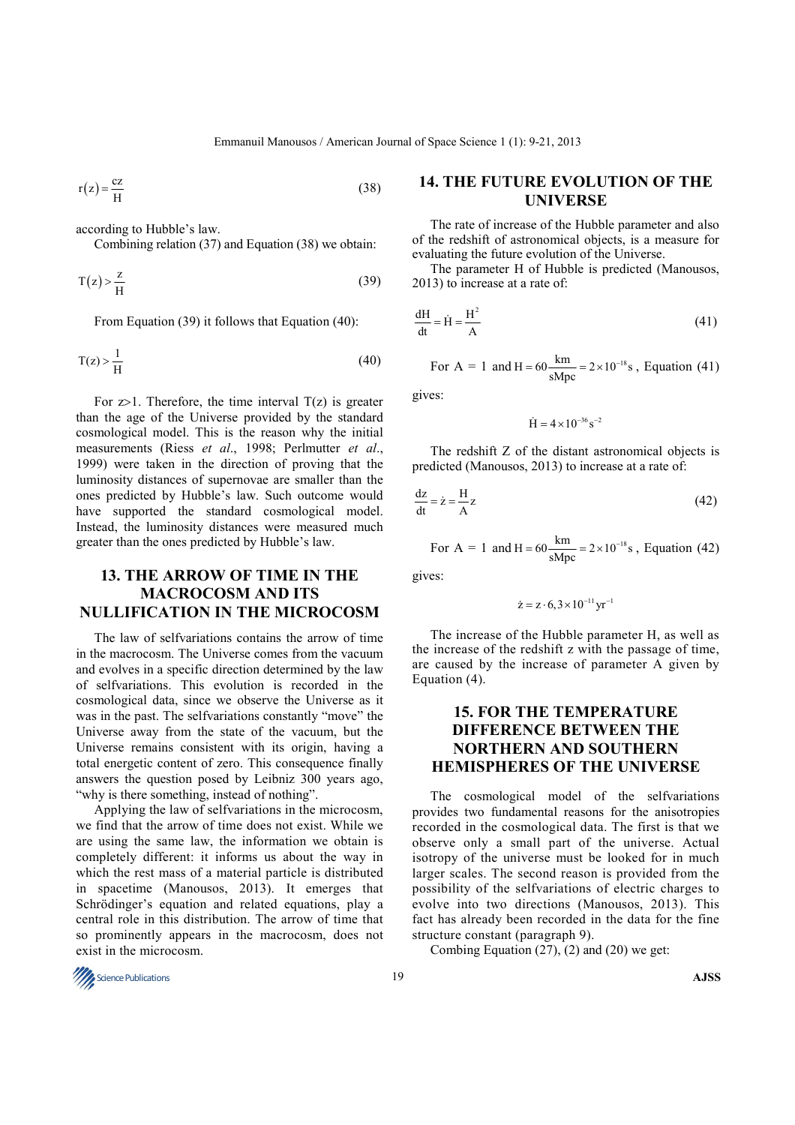Emmanuil Manousos / American Journal of Space Science 1 (1): 9-21, 2013

 $r(z) = \frac{cz}{H}$  $=\frac{C}{N}$  (38)

according to Hubble's law.

Combining relation (37) and Equation (38) we obtain:

$$
T(z) > \frac{z}{H}
$$
 (39)

From Equation (39) it follows that Equation (40):

$$
T(z) > \frac{1}{H}
$$
 (40)

For  $z>1$ . Therefore, the time interval  $T(z)$  is greater than the age of the Universe provided by the standard cosmological model. This is the reason why the initial measurements (Riess *et al*., 1998; Perlmutter *et al*., 1999) were taken in the direction of proving that the luminosity distances of supernovae are smaller than the ones predicted by Hubble's law. Such outcome would have supported the standard cosmological model. Instead, the luminosity distances were measured much greater than the ones predicted by Hubble's law.

### **13. THE ARROW OF TIME IN THE MACROCOSM AND ITS NULLIFICATION IN THE MICROCOSM**

The law of selfvariations contains the arrow of time in the macrocosm. The Universe comes from the vacuum and evolves in a specific direction determined by the law of selfvariations. This evolution is recorded in the cosmological data, since we observe the Universe as it was in the past. The selfvariations constantly "move" the Universe away from the state of the vacuum, but the Universe remains consistent with its origin, having a total energetic content of zero. This consequence finally answers the question posed by Leibniz 300 years ago, "why is there something, instead of nothing".

Applying the law of selfvariations in the microcosm, we find that the arrow of time does not exist. While we are using the same law, the information we obtain is completely different: it informs us about the way in which the rest mass of a material particle is distributed in spacetime (Manousos, 2013). It emerges that Schrödinger's equation and related equations, play a central role in this distribution. The arrow of time that so prominently appears in the macrocosm, does not exist in the microcosm.

### **14. THE FUTURE EVOLUTION OF THE UNIVERSE**

The rate of increase of the Hubble parameter and also of the redshift of astronomical objects, is a measure for evaluating the future evolution of the Universe.

The parameter H of Hubble is predicted (Manousos, 2013) to increase at a rate of:

$$
\frac{dH}{dt} = \dot{H} = \frac{H^2}{A}
$$
 (41)

For A = 1 and H = 
$$
60 \frac{\text{km}}{\text{sMpc}} = 2 \times 10^{-18} \text{s}
$$
, Equation (41)

gives:

$$
\dot{H} = 4 \! \times \! 10^{-36} \, s^{-2}
$$

The redshift Z of the distant astronomical objects is predicted (Manousos, 2013) to increase at a rate of:

$$
\frac{dz}{dt} = \dot{z} = \frac{H}{A}z\tag{42}
$$

For A = 1 and H = 
$$
60 \frac{\text{km}}{\text{sMpc}} = 2 \times 10^{-18} \text{s}
$$
, Equation (42)

gives:

$$
\dot{z} = z \cdot 6, 3 \times 10^{-11} \, yr^{-1}
$$

The increase of the Hubble parameter H, as well as the increase of the redshift z with the passage of time, are caused by the increase of parameter A given by Equation (4).

## **15. FOR THE TEMPERATURE DIFFERENCE BETWEEN THE NORTHERN AND SOUTHERN HEMISPHERES OF THE UNIVERSE**

The cosmological model of the selfvariations provides two fundamental reasons for the anisotropies recorded in the cosmological data. The first is that we observe only a small part of the universe. Actual isotropy of the universe must be looked for in much larger scales. The second reason is provided from the possibility of the selfvariations of electric charges to evolve into two directions (Manousos, 2013). This fact has already been recorded in the data for the fine structure constant (paragraph 9).

Combing Equation  $(27)$ ,  $(2)$  and  $(20)$  we get:

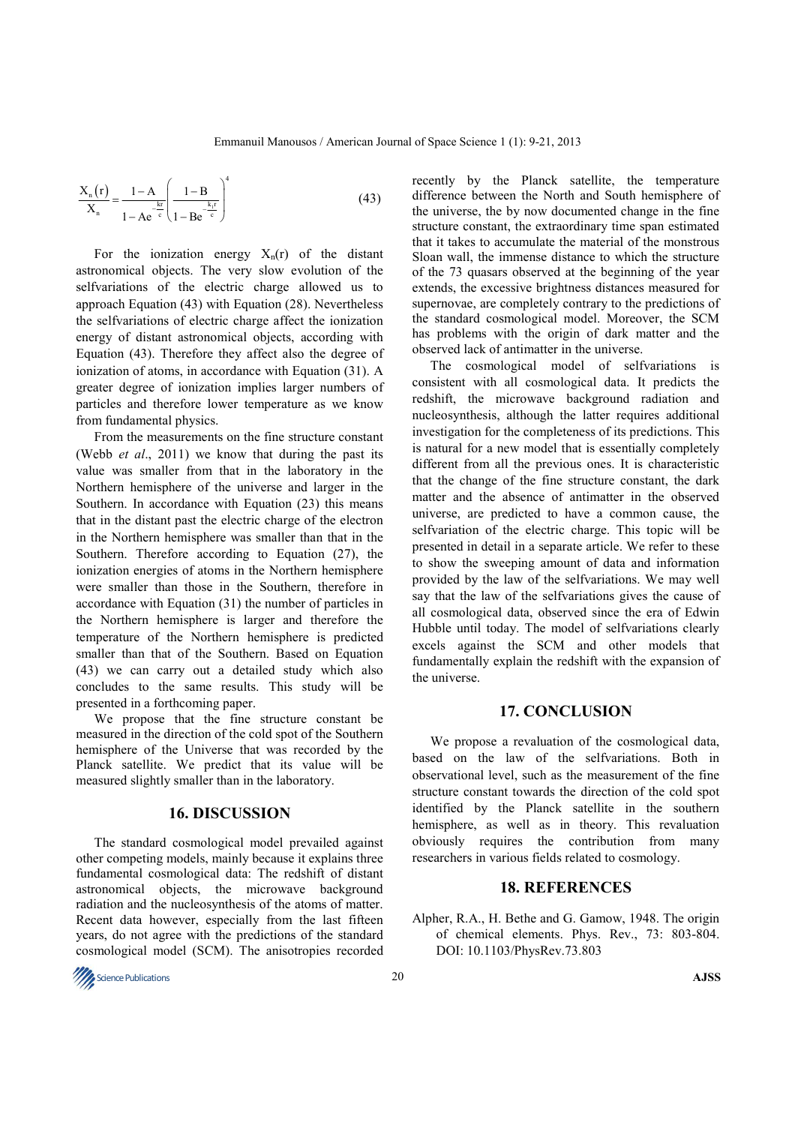$$
\frac{X_{n}(r)}{X_{n}} = \frac{1 - A}{1 - Ae^{-\frac{kr}{c}}} \left(\frac{1 - B}{1 - Be^{-\frac{k_{r}r}{c}}}\right)^{4}
$$
(43)

For the ionization energy  $X_n(r)$  of the distant astronomical objects. The very slow evolution of the selfvariations of the electric charge allowed us to approach Equation (43) with Equation (28). Nevertheless the selfvariations of electric charge affect the ionization energy of distant astronomical objects, according with Equation (43). Therefore they affect also the degree of ionization of atoms, in accordance with Equation (31). A greater degree of ionization implies larger numbers of particles and therefore lower temperature as we know from fundamental physics.

From the measurements on the fine structure constant (Webb *et al*., 2011) we know that during the past its value was smaller from that in the laboratory in the Northern hemisphere of the universe and larger in the Southern. In accordance with Equation (23) this means that in the distant past the electric charge of the electron in the Northern hemisphere was smaller than that in the Southern. Therefore according to Equation (27), the ionization energies of atoms in the Northern hemisphere were smaller than those in the Southern, therefore in accordance with Equation (31) the number of particles in the Northern hemisphere is larger and therefore the temperature of the Northern hemisphere is predicted smaller than that of the Southern. Based on Equation (43) we can carry out a detailed study which also concludes to the same results. This study will be presented in a forthcoming paper.

We propose that the fine structure constant be measured in the direction of the cold spot of the Southern hemisphere of the Universe that was recorded by the Planck satellite. We predict that its value will be measured slightly smaller than in the laboratory.

### **16. DISCUSSION**

The standard cosmological model prevailed against other competing models, mainly because it explains three fundamental cosmological data: The redshift of distant astronomical objects, the microwave background radiation and the nucleosynthesis of the atoms of matter. Recent data however, especially from the last fifteen years, do not agree with the predictions of the standard cosmological model (SCM). The anisotropies recorded

recently by the Planck satellite, the temperature difference between the North and South hemisphere of the universe, the by now documented change in the fine structure constant, the extraordinary time span estimated that it takes to accumulate the material of the monstrous Sloan wall, the immense distance to which the structure of the 73 quasars observed at the beginning of the year extends, the excessive brightness distances measured for supernovae, are completely contrary to the predictions of the standard cosmological model. Moreover, the SCM has problems with the origin of dark matter and the observed lack of antimatter in the universe.

The cosmological model of selfvariations is consistent with all cosmological data. It predicts the redshift, the microwave background radiation and nucleosynthesis, although the latter requires additional investigation for the completeness of its predictions. This is natural for a new model that is essentially completely different from all the previous ones. It is characteristic that the change of the fine structure constant, the dark matter and the absence of antimatter in the observed universe, are predicted to have a common cause, the selfvariation of the electric charge. This topic will be presented in detail in a separate article. We refer to these to show the sweeping amount of data and information provided by the law of the selfvariations. We may well say that the law of the selfvariations gives the cause of all cosmological data, observed since the era of Edwin Hubble until today. The model of selfvariations clearly excels against the SCM and other models that fundamentally explain the redshift with the expansion of the universe.

#### **17. CONCLUSION**

We propose a revaluation of the cosmological data, based on the law of the selfvariations. Both in observational level, such as the measurement of the fine structure constant towards the direction of the cold spot identified by the Planck satellite in the southern hemisphere, as well as in theory. This revaluation obviously requires the contribution from many researchers in various fields related to cosmology.

#### **18. REFERENCES**

Alpher, R.A., H. Bethe and G. Gamow, 1948. The origin of chemical elements. Phys. Rev., 73: 803-804. DOI: 10.1103/PhysRev.73.803